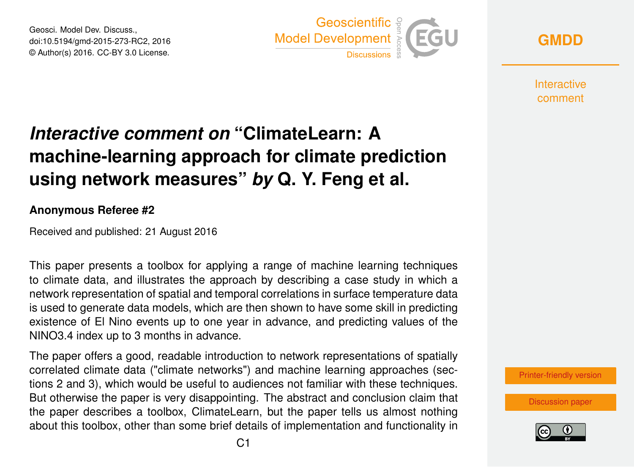Geosci. Model Dev. Discuss., doi:10.5194/gmd-2015-273-RC2, 2016 © Author(s) 2016. CC-BY 3.0 License.



**[GMDD](http://www.geosci-model-dev-discuss.net/)**

**Interactive** comment

# *Interactive comment on* **"ClimateLearn: A machine-learning approach for climate prediction using network measures"** *by* **Q. Y. Feng et al.**

#### **Anonymous Referee #2**

Received and published: 21 August 2016

This paper presents a toolbox for applying a range of machine learning techniques to climate data, and illustrates the approach by describing a case study in which a network representation of spatial and temporal correlations in surface temperature data is used to generate data models, which are then shown to have some skill in predicting existence of El Nino events up to one year in advance, and predicting values of the NINO3.4 index up to 3 months in advance.

The paper offers a good, readable introduction to network representations of spatially correlated climate data ("climate networks") and machine learning approaches (sections 2 and 3), which would be useful to audiences not familiar with these techniques. But otherwise the paper is very disappointing. The abstract and conclusion claim that the paper describes a toolbox, ClimateLearn, but the paper tells us almost nothing about this toolbox, other than some brief details of implementation and functionality in

[Printer-friendly version](http://www.geosci-model-dev-discuss.net/gmd-2015-273/gmd-2015-273-RC2-print.pdf)

[Discussion paper](http://www.geosci-model-dev-discuss.net/gmd-2015-273)

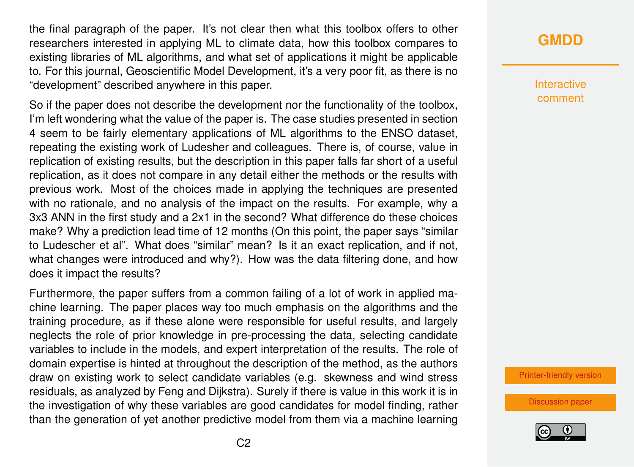the final paragraph of the paper. It's not clear then what this toolbox offers to other researchers interested in applying ML to climate data, how this toolbox compares to existing libraries of ML algorithms, and what set of applications it might be applicable to. For this journal, Geoscientific Model Development, it's a very poor fit, as there is no "development" described anywhere in this paper.

So if the paper does not describe the development nor the functionality of the toolbox, I'm left wondering what the value of the paper is. The case studies presented in section 4 seem to be fairly elementary applications of ML algorithms to the ENSO dataset, repeating the existing work of Ludesher and colleagues. There is, of course, value in replication of existing results, but the description in this paper falls far short of a useful replication, as it does not compare in any detail either the methods or the results with previous work. Most of the choices made in applying the techniques are presented with no rationale, and no analysis of the impact on the results. For example, why a 3x3 ANN in the first study and a 2x1 in the second? What difference do these choices make? Why a prediction lead time of 12 months (On this point, the paper says "similar to Ludescher et al". What does "similar" mean? Is it an exact replication, and if not, what changes were introduced and why?). How was the data filtering done, and how does it impact the results?

Furthermore, the paper suffers from a common failing of a lot of work in applied machine learning. The paper places way too much emphasis on the algorithms and the training procedure, as if these alone were responsible for useful results, and largely neglects the role of prior knowledge in pre-processing the data, selecting candidate variables to include in the models, and expert interpretation of the results. The role of domain expertise is hinted at throughout the description of the method, as the authors draw on existing work to select candidate variables (e.g. skewness and wind stress residuals, as analyzed by Feng and Dijkstra). Surely if there is value in this work it is in the investigation of why these variables are good candidates for model finding, rather than the generation of yet another predictive model from them via a machine learning

## **[GMDD](http://www.geosci-model-dev-discuss.net/)**

Interactive comment

[Printer-friendly version](http://www.geosci-model-dev-discuss.net/gmd-2015-273/gmd-2015-273-RC2-print.pdf)

[Discussion paper](http://www.geosci-model-dev-discuss.net/gmd-2015-273)